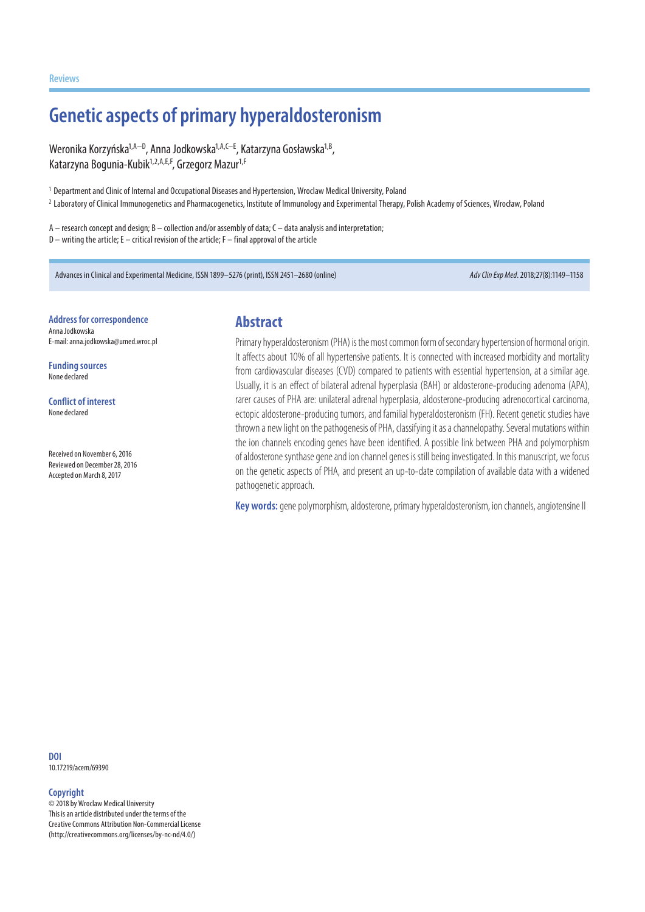**Reviews**

# **Genetic aspects of primary hyperaldosteronism**

Weronika Korzyńska<sup>1,A−D</sup>, Anna Jodkowska<sup>1,A,C−E</sup>, Katarzyna Gosławska<sup>1,B</sup>, Katarzyna Bogunia-Kubik<sup>1,2,A,E,F</sup>, Grzegorz Mazur<sup>1,F</sup>

<sup>1</sup> Department and Clinic of Internal and Occupational Diseases and Hypertension, Wroclaw Medical University, Poland

<sup>2</sup> Laboratory of Clinical Immunogenetics and Pharmacogenetics, Institute of Immunology and Experimental Therapy, Polish Academy of Sciences, Wrocław, Poland

A – research concept and design; B – collection and/or assembly of data; C – data analysis and interpretation;  $D$  – writing the article; E – critical revision of the article; F – final approval of the article

Advances in Clinical and Experimental Medicine, ISSN 1899–5276 (print), ISSN 2451–2680 (online) *Adv Clin Exp Med*. 2018;27(8):1149–1158

**Address for correspondence** Anna Jodkowska E-mail: anna.jodkowska@umed.wroc.pl

**Funding sources** None declared

**Conflict of interest** None declared

Received on November 6, 2016 Reviewed on December 28, 2016 Accepted on March 8, 2017

### **Abstract**

Primary hyperaldosteronism (PHA) is the most common form of secondary hypertension of hormonal origin. It affects about 10% of all hypertensive patients. It is connected with increased morbidity and mortality from cardiovascular diseases (CVD) compared to patients with essential hypertension, at a similar age. Usually, it is an effect of bilateral adrenal hyperplasia (BAH) or aldosterone-producing adenoma (APA), rarer causes of PHA are: unilateral adrenal hyperplasia, aldosterone-producing adrenocortical carcinoma, ectopic aldosterone-producing tumors, and familial hyperaldosteronism (FH). Recent genetic studies have thrown a new light on the pathogenesis of PHA, classifying it as a channelopathy. Several mutations within the ion channels encoding genes have been identified. A possible link between PHA and polymorphism of aldosterone synthase gene and ion channel genes is still being investigated. In this manuscript, we focus on the genetic aspects of PHA, and present an up-to-date compilation of available data with a widened pathogenetic approach.

**Key words:** gene polymorphism, aldosterone, primary hyperaldosteronism, ion channels, angiotensine II

**DOI** 10.17219/acem/69390

#### **Copyright**

© 2018 by Wroclaw Medical University This is an article distributed under the terms of the Creative Commons Attribution Non-Commercial License (http://creativecommons.org/licenses/by-nc-nd/4.0/)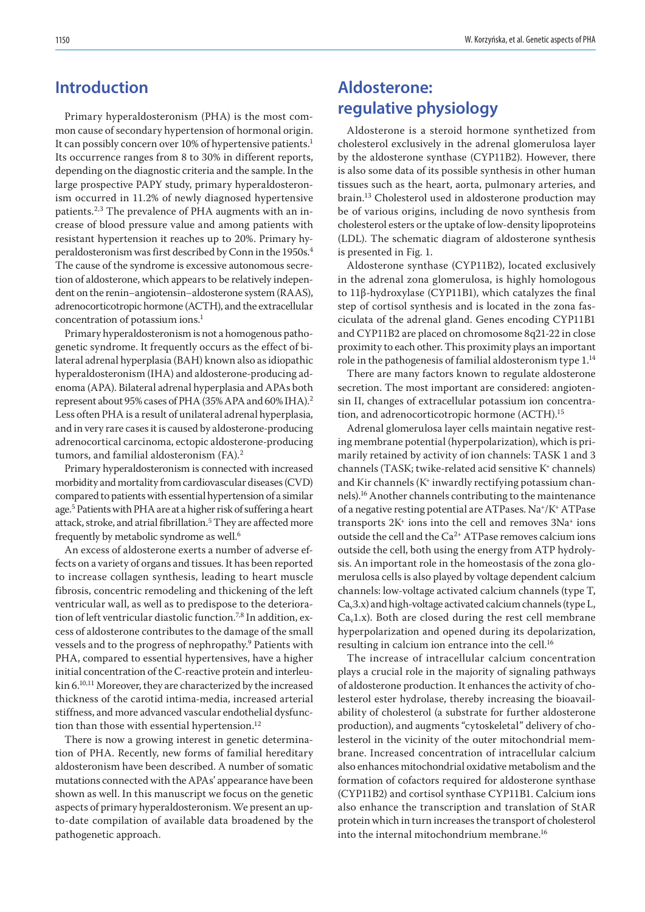### **Introduction**

Primary hyperaldosteronism (PHA) is the most common cause of secondary hypertension of hormonal origin. It can possibly concern over 10% of hypertensive patients.<sup>1</sup> Its occurrence ranges from 8 to 30% in different reports, depending on the diagnostic criteria and the sample. In the large prospective PAPY study, primary hyperaldosteronism occurred in 11.2% of newly diagnosed hypertensive patients.<sup>2,3</sup> The prevalence of PHA augments with an increase of blood pressure value and among patients with resistant hypertension it reaches up to 20%. Primary hyperaldosteronism was first described by Conn in the 1950s.4 The cause of the syndrome is excessive autonomous secretion of aldosterone, which appears to be relatively independent on the renin−angiotensin−aldosterone system (RAAS), adrenocorticotropic hormone (ACTH), and the extracellular concentration of potassium ions.<sup>1</sup>

Primary hyperaldosteronism is not a homogenous pathogenetic syndrome. It frequently occurs as the effect of bilateral adrenal hyperplasia (BAH) known also as idiopathic hyperaldosteronism (IHA) and aldosterone-producing adenoma (APA). Bilateral adrenal hyperplasia and APAs both represent about 95% cases of PHA (35% APA and 60% IHA).2 Less often PHA is a result of unilateral adrenal hyperplasia, and in very rare cases it is caused by aldosterone-producing adrenocortical carcinoma, ectopic aldosterone-producing tumors, and familial aldosteronism (FA).<sup>2</sup>

Primary hyperaldosteronism is connected with increased morbidity and mortality from cardiovascular diseases (CVD) compared to patients with essential hypertension of a similar age.5 Patients with PHA are at a higher risk of suffering a heart attack, stroke, and atrial fibrillation.<sup>5</sup> They are affected more frequently by metabolic syndrome as well.6

An excess of aldosterone exerts a number of adverse effects on a variety of organs and tissues. It has been reported to increase collagen synthesis, leading to heart muscle fibrosis, concentric remodeling and thickening of the left ventricular wall, as well as to predispose to the deterioration of left ventricular diastolic function.<sup>7,8</sup> In addition, excess of aldosterone contributes to the damage of the small vessels and to the progress of nephropathy.9 Patients with PHA, compared to essential hypertensives, have a higher initial concentration of the C-reactive protein and interleukin 6.10,11 Moreover, they are characterized by the increased thickness of the carotid intima-media, increased arterial stiffness, and more advanced vascular endothelial dysfunction than those with essential hypertension.<sup>12</sup>

There is now a growing interest in genetic determination of PHA. Recently, new forms of familial hereditary aldosteronism have been described. A number of somatic mutations connected with the APAs' appearance have been shown as well. In this manuscript we focus on the genetic aspects of primary hyperaldosteronism. We present an upto-date compilation of available data broadened by the pathogenetic approach.

### **Aldosterone: regulative physiology**

Aldosterone is a steroid hormone synthetized from cholesterol exclusively in the adrenal glomerulosa layer by the aldosterone synthase (CYP11B2). However, there is also some data of its possible synthesis in other human tissues such as the heart, aorta, pulmonary arteries, and brain.13 Cholesterol used in aldosterone production may be of various origins, including de novo synthesis from cholesterol esters or the uptake of low-density lipoproteins (LDL). The schematic diagram of aldosterone synthesis is presented in Fig. 1.

Aldosterone synthase (CYP11B2), located exclusively in the adrenal zona glomerulosa, is highly homologous to 11β-hydroxylase (CYP11B1), which catalyzes the final step of cortisol synthesis and is located in the zona fasciculata of the adrenal gland. Genes encoding CYP11B1 and CYP11B2 are placed on chromosome 8q21-22 in close proximity to each other. This proximity plays an important role in the pathogenesis of familial aldosteronism type 1.14

There are many factors known to regulate aldosterone secretion. The most important are considered: angiotensin II, changes of extracellular potassium ion concentration, and adrenocorticotropic hormone (ACTH).15

Adrenal glomerulosa layer cells maintain negative resting membrane potential (hyperpolarization), which is primarily retained by activity of ion channels: TASK 1 and 3 channels (TASK; twike-related acid sensitive K+ channels) and Kir channels (K+ inwardly rectifying potassium channels).16 Another channels contributing to the maintenance of a negative resting potential are ATPases. Na+/K+ ATPase transports  $2K<sup>+</sup>$  ions into the cell and removes  $3Na<sup>+</sup>$  ions outside the cell and the  $Ca^{2+}$  ATPase removes calcium ions outside the cell, both using the energy from ATP hydrolysis. An important role in the homeostasis of the zona glomerulosa cells is also played by voltage dependent calcium channels: low-voltage activated calcium channels (type T,  $Ca<sub>v</sub>3.x$ ) and high-voltage activated calcium channels (type L,  $Ca<sub>v</sub>1.x$ ). Both are closed during the rest cell membrane hyperpolarization and opened during its depolarization, resulting in calcium ion entrance into the cell.<sup>16</sup>

The increase of intracellular calcium concentration plays a crucial role in the majority of signaling pathways of aldosterone production. It enhances the activity of cholesterol ester hydrolase, thereby increasing the bioavailability of cholesterol (a substrate for further aldosterone production), and augments "cytoskeletal" delivery of cholesterol in the vicinity of the outer mitochondrial membrane. Increased concentration of intracellular calcium also enhances mitochondrial oxidative metabolism and the formation of cofactors required for aldosterone synthase (CYP11B2) and cortisol synthase CYP11B1. Calcium ions also enhance the transcription and translation of StAR protein which in turn increases the transport of cholesterol into the internal mitochondrium membrane.<sup>16</sup>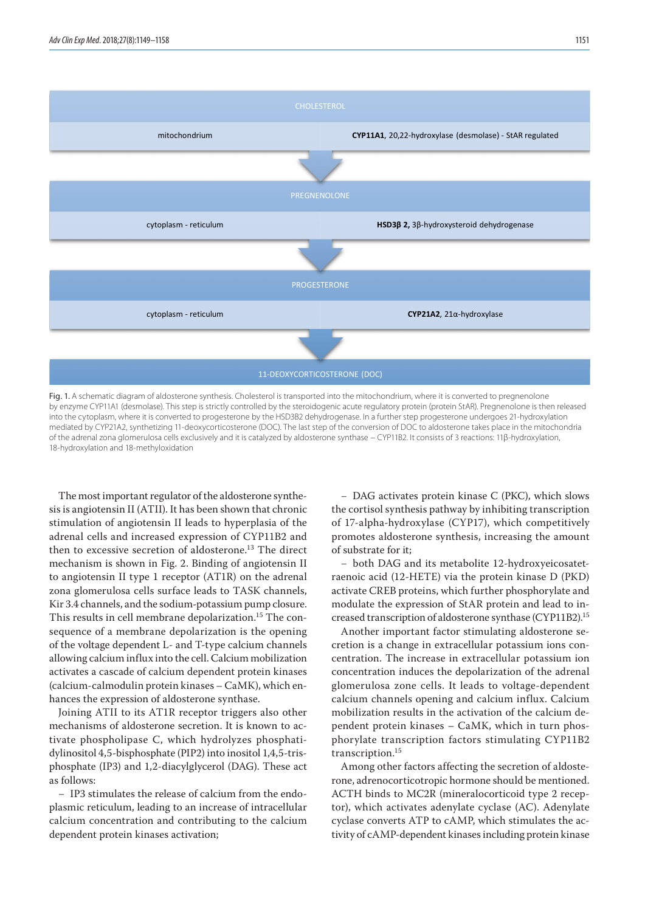

11-DEOXYCORTICOSTERONE (DOC)

Fig. 1. A schematic diagram of aldosterone synthesis. Cholesterol is transported into the mitochondrium, where it is converted to pregnenolone by enzyme CYP11A1 (desmolase). This step is strictly controlled by the steroidogenic acute regulatory protein (protein StAR). Pregnenolone is then released into the cytoplasm, where it is converted to progesterone by the HSD3B2 dehydrogenase. In a further step progesterone undergoes 21-hydroxylation mediated by CYP21A2, synthetizing 11-deoxycorticosterone (DOC). The last step of the conversion of DOC to aldosterone takes place in the mitochondria of the adrenal zona glomerulosa cells exclusively and it is catalyzed by aldosterone synthase − CYP11B2. It consists of 3 reactions: 11β-hydroxylation, 18-hydroxylation and 18-methyloxidation

The most important regulator of the aldosterone synthe-<br>  $-$  DAG activates protein kinase C (PKC), sis is angiotensin II (ATII). It has been shown that chronic stimulation of angiotensin II leads to hyperplasia of the adrenal cells and increased expression of CYP11B2 and then to excessive secretion of aldosterone.<sup>13</sup> The direct mechanism is shown in Fig. 2. Binding of angiotensin II to angiotensin II type 1 receptor (AT1R) on the adrenal zona glomerulosa cells surface leads to TASK channels, Kir 3.4 channels, and the sodium-potassium pump closure. This results in cell membrane depolarization.<sup>15</sup> The consequence of a membrane depolarization is the opening of the voltage dependent L- and T-type calcium channels allowing calcium influx into the cell. Calcium mobilization activates a cascade of calcium dependent protein kinases (calcium-calmodulin protein kinases – CaMK), which enhances the expression of aldosterone synthase.

Joining ATII to its AT1R receptor triggers also other mechanisms of aldosterone secretion. It is known to activate phospholipase C, which hydrolyzes phosphatidylinositol 4,5-bisphosphate (PIP2) into inositol 1,4,5-trisphosphate (IP3) and 1,2-diacylglycerol (DAG). These act as follows:

− IP3 stimulates the release of calcium from the endoplasmic reticulum, leading to an increase of intracellular calcium concentration and contributing to the calcium dependent protein kinases activation;

− DAG activates protein kinase C (PKC), which slows the cortisol synthesis pathway by inhibiting transcription of 17-alpha-hydroxylase (CYP17), which competitively promotes aldosterone synthesis, increasing the amount of substrate for it;

− both DAG and its metabolite 12-hydroxyeicosatetraenoic acid (12-HETE) via the protein kinase D (PKD) activate CREB proteins, which further phosphorylate and modulate the expression of StAR protein and lead to increased transcription of aldosterone synthase (CYP11B2).15

Another important factor stimulating aldosterone secretion is a change in extracellular potassium ions concentration. The increase in extracellular potassium ion concentration induces the depolarization of the adrenal glomerulosa zone cells. It leads to voltage-dependent calcium channels opening and calcium influx. Calcium mobilization results in the activation of the calcium dependent protein kinases – CaMK, which in turn phosphorylate transcription factors stimulating CYP11B2 transcription.15

Among other factors affecting the secretion of aldosterone, adrenocorticotropic hormone should be mentioned. ACTH binds to MC2R (mineralocorticoid type 2 receptor), which activates adenylate cyclase (AC). Adenylate cyclase converts ATP to cAMP, which stimulates the activity of cAMP-dependent kinases including protein kinase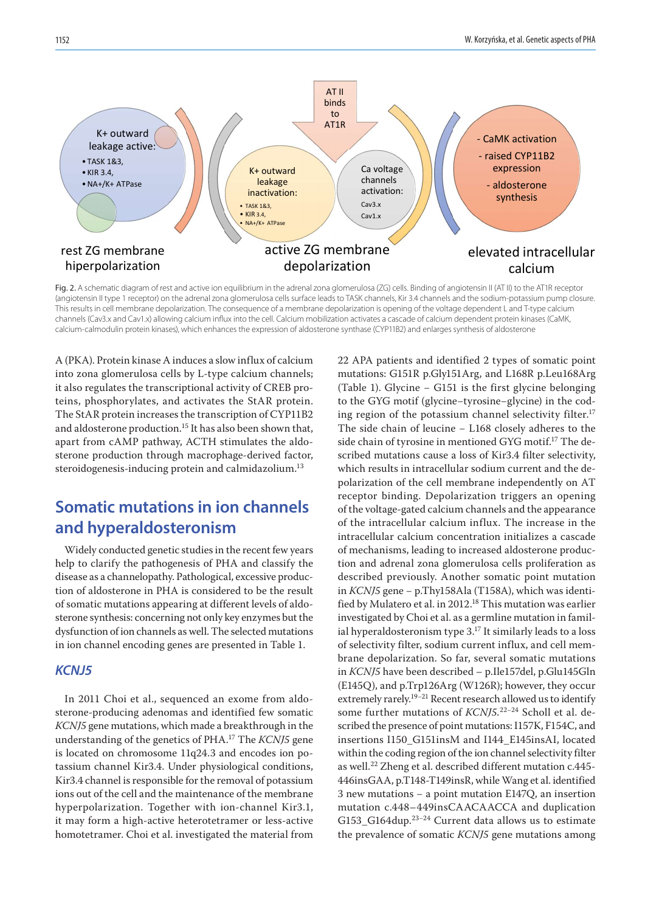

Fig. 2. A schematic diagram of rest and active ion equilibrium in the adrenal zona glomerulosa (ZG) cells. Binding of angiotensin II (AT II) to the AT1R receptor (angiotensin II type 1 receptor) on the adrenal zona glomerulosa cells surface leads to TASK channels, Kir 3.4 channels and the sodium-potassium pump closure. This results in cell membrane depolarization. The consequence of a membrane depolarization is opening of the voltage dependent L and T-type calcium channels (Cav3.x and Cav1.x) allowing calcium influx into the cell. Calcium mobilization activates a cascade of calcium dependent protein kinases (CaMK, calcium-calmodulin protein kinases), which enhances the expression of aldosterone synthase (CYP11B2) and enlarges synthesis of aldosterone

A (PKA). Protein kinase A induces a slow influx of calcium into zona glomerulosa cells by L-type calcium channels; it also regulates the transcriptional activity of CREB proteins, phosphorylates, and activates the StAR protein. The StAR protein increases the transcription of CYP11B2 and aldosterone production.<sup>15</sup> It has also been shown that, apart from cAMP pathway, ACTH stimulates the aldosterone production through macrophage-derived factor, steroidogenesis-inducing protein and calmidazolium.<sup>13</sup>

## **Somatic mutations in ion channels and hyperaldosteronism**

Widely conducted genetic studies in the recent few years help to clarify the pathogenesis of PHA and classify the disease as a channelopathy. Pathological, excessive production of aldosterone in PHA is considered to be the result of somatic mutations appearing at different levels of aldosterone synthesis: concerning not only key enzymes but the dysfunction of ion channels as well. The selected mutations in ion channel encoding genes are presented in Table 1.

#### *KCNJ5*

In 2011 Choi et al., sequenced an exome from aldosterone-producing adenomas and identified few somatic *KCNJ5* gene mutations, which made a breakthrough in the understanding of the genetics of PHA.17 The *KCNJ5* gene is located on chromosome 11q24.3 and encodes ion potassium channel Kir3.4. Under physiological conditions, Kir3.4 channel is responsible for the removal of potassium ions out of the cell and the maintenance of the membrane hyperpolarization. Together with ion-channel Kir3.1, it may form a high-active heterotetramer or less-active homotetramer. Choi et al. investigated the material from 22 APA patients and identified 2 types of somatic point mutations: G151R p.Gly151Arg, and L168R p.Leu168Arg (Table 1). Glycine − G151 is the first glycine belonging to the GYG motif (glycine−tyrosine−glycine) in the coding region of the potassium channel selectivity filter.<sup>17</sup> The side chain of leucine − L168 closely adheres to the side chain of tyrosine in mentioned GYG motif.17 The described mutations cause a loss of Kir3.4 filter selectivity, which results in intracellular sodium current and the depolarization of the cell membrane independently on AT receptor binding. Depolarization triggers an opening of the voltage-gated calcium channels and the appearance of the intracellular calcium influx. The increase in the intracellular calcium concentration initializes a cascade of mechanisms, leading to increased aldosterone production and adrenal zona glomerulosa cells proliferation as described previously. Another somatic point mutation in *KCNJ5* gene − p.Thy158Ala (T158A), which was identified by Mulatero et al. in 2012.<sup>18</sup> This mutation was earlier investigated by Choi et al. as a germline mutation in familial hyperaldosteronism type 3.17 It similarly leads to a loss of selectivity filter, sodium current influx, and cell membrane depolarization. So far, several somatic mutations in *KCNJ5* have been described – p.Ile157del, p.Glu145Gln (E145Q), and p.Trp126Arg (W126R); however, they occur extremely rarely.19−21 Recent research allowed us to identify some further mutations of *KCNJ5.*22−24 Scholl et al. described the presence of point mutations: I157K, F154C, and insertions I150\_G151insM and I144\_E145insAI, located within the coding region of the ion channel selectivity filter as well.22 Zheng et al. described different mutation c.445- 446insGAA, p.T148-T149insR, while Wang et al. identified 3 new mutations − a point mutation E147Q, an insertion mutation c.448–449insCAACAACCA and duplication G153\_G164dup.23−24 Current data allows us to estimate the prevalence of somatic *KCNJ5* gene mutations among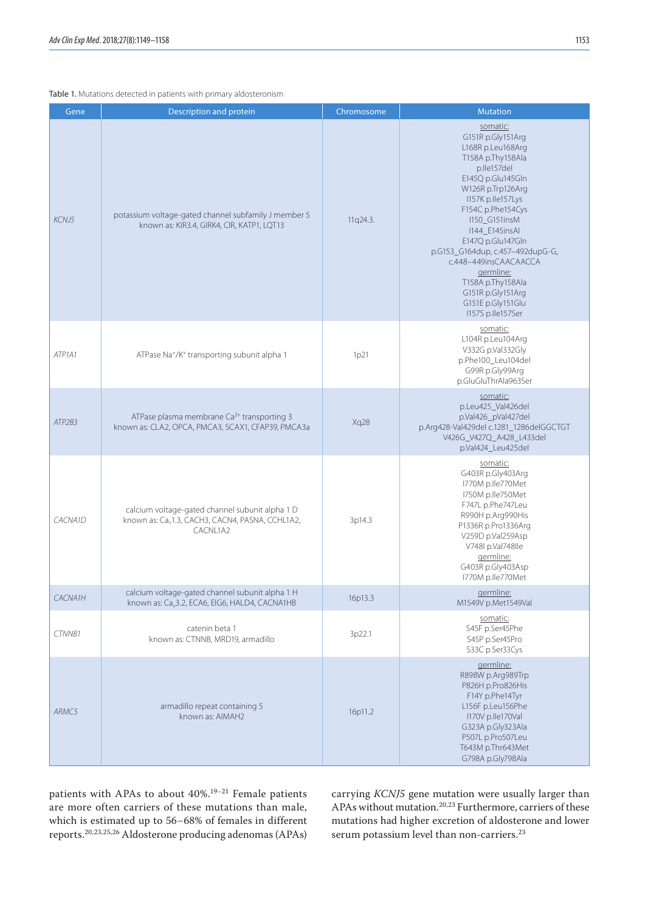#### Table 1. Mutations detected in patients with primary aldosteronism

| Gene    | Description and protein                                                                                                     | Chromosome | <b>Mutation</b>                                                                                                                                                                                                                                                                                                                                                                                  |
|---------|-----------------------------------------------------------------------------------------------------------------------------|------------|--------------------------------------------------------------------------------------------------------------------------------------------------------------------------------------------------------------------------------------------------------------------------------------------------------------------------------------------------------------------------------------------------|
| KCNJ5   | potassium voltage-gated channel subfamily J member 5<br>known as: KIR3.4, GIRK4, CIR, KATP1, LQT13                          | 11q24.3.   | somatic:<br>G151R p.Gly151Arg<br>L168R p.Leu168Arg<br>T158A p.Thy158Ala<br>p.lle157del<br>E145Q p.Glu145Gln<br>W126R p.Trp126Arg<br>I157K p.lle157Lys<br>F154C p.Phe154Cys<br>I150_G151insM<br>1144 E145insAl<br>E147Q p.Glu147Gln<br>p.G153_G164dup, c.457-492dupG-G,<br>c.448-449insCAACAACCA<br>germline:<br>T158A p.Thy158Ala<br>G151R p.Gly151Arg<br>G151E p.Gly151Glu<br>I157S p.lle157Ser |
| ATP1A1  | ATPase Na <sup>+</sup> /K <sup>+</sup> transporting subunit alpha 1                                                         | 1p21       | somatic:<br>L104R p.Leu104Arg<br>V332G p.Val332Gly<br>p.Phe100_Leu104del<br>G99R p.Gly99Arq<br>p.GluGluThrAla963Ser                                                                                                                                                                                                                                                                              |
| ATP2B3  | ATPase plasma membrane Ca <sup>2+</sup> transporting 3<br>known as: CLA2, OPCA, PMCA3, SCAX1, CFAP39, PMCA3a                | Xq28       | somatic:<br>p.Leu425_Val426del<br>p.Val426_pVal427del<br>p.Arg428-Val429del c.1281_1286delGGCTGT<br>V426G_V427Q_A428_L433del<br>p.Val424_Leu425del                                                                                                                                                                                                                                               |
| CACNA1D | calcium voltage-gated channel subunit alpha 1 D<br>known as: Ca <sub>v</sub> 1.3, CACH3, CACN4, PASNA, CCHL1A2,<br>CACNL1A2 | 3p14.3     | somatic:<br>G403R p.Gly403Arg<br>I770M p.lle770Met<br>I750M p.lle750Met<br>F747L p.Phe747Leu<br>R990H p.Arg990His<br>P1336R p.Pro1336Arg<br>V259D p.Val259Asp<br>V748I p.Val748Ile<br>germline:<br>G403R p.Gly403Asp<br>I770M p.lle770Met                                                                                                                                                        |
| CACNA1H | calcium voltage-gated channel subunit alpha 1 H<br>known as: Ca <sub>v</sub> 3.2, ECA6, EIG6, HALD4, CACNA1HB               | 16p13.3    | germline:<br>M1549V p.Met1549Val                                                                                                                                                                                                                                                                                                                                                                 |
| CTNNB1  | catenin beta 1<br>known as: CTNNB, MRD19, armadillo                                                                         | 3p22.1     | somatic:<br>S45F p.Ser45Phe<br>S45P p.Ser45Pro<br>S33C p.Ser33Cys                                                                                                                                                                                                                                                                                                                                |
| ARMC5   | armadillo repeat containing 5<br>known as: AIMAH2                                                                           | 16p11.2    | germline:<br>R898W p.Arg989Trp<br>P826H p.Pro826His<br>F14Y p.Phe14Tyr<br>L156F p.Leu156Phe<br>I170V p.lle170Val<br>G323A p.Gly323Ala<br>P507L p.Pro507Leu<br>T643M p.Thr643Met<br>G798A p.Gly798Ala                                                                                                                                                                                             |

patients with APAs to about 40%.19−21 Female patients are more often carriers of these mutations than male, which is estimated up to 56−68% of females in different reports.20,23,25,26 Aldosterone producing adenomas (APAs)

carrying *KCNJ5* gene mutation were usually larger than APAs without mutation.20,23 Furthermore, carriers of these mutations had higher excretion of aldosterone and lower serum potassium level than non-carriers.<sup>23</sup>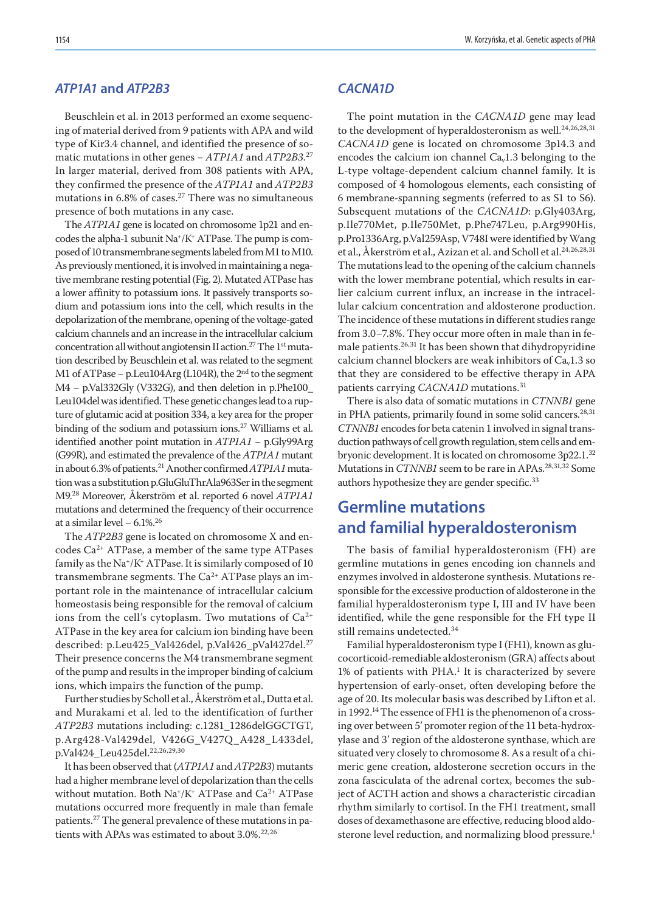### *ATP1A1* **and** *ATP2B3*

Beuschlein et al. in 2013 performed an exome sequencing of material derived from 9 patients with APA and wild type of Kir3.4 channel, and identified the presence of somatic mutations in other genes − *ATP1A1* and *ATP2B3.*<sup>27</sup> In larger material, derived from 308 patients with APA, they confirmed the presence of the *ATP1A1* and *ATP2B3* mutations in 6.8% of cases.<sup>27</sup> There was no simultaneous presence of both mutations in any case.

The *ATP1A1* gene is located on chromosome 1p21 and encodes the alpha-1 subunit Na+/K+ ATPase. The pump is composed of 10 transmembrane segments labeled from M1 to M10. As previously mentioned, it is involved in maintaining a negative membrane resting potential (Fig. 2). Mutated ATPase has a lower affinity to potassium ions. It passively transports sodium and potassium ions into the cell, which results in the depolarization of the membrane, opening of the voltage-gated calcium channels and an increase in the intracellular calcium concentration all without angiotensin II action.<sup>27</sup> The 1<sup>st</sup> mutation described by Beuschlein et al. was related to the segment M1 of ATPase – p.Leu104Arg (L104R), the 2<sup>nd</sup> to the segment M4 - p.Val332Gly (V332G), and then deletion in p.Phe100\_ Leu104del was identified. These genetic changes lead to a rupture of glutamic acid at position 334, a key area for the proper binding of the sodium and potassium ions.<sup>27</sup> Williams et al. identified another point mutation in *ATP1A1* − p.Gly99Arg (G99R), and estimated the prevalence of the *ATP1A1* mutant in about 6.3% of patients.21 Another confirmed *ATP1A1* mutation was a substitution p.GluGluThrAla963Ser in the segment M9.28 Moreover, Åkerström et al. reported 6 novel *ATP1A1* mutations and determined the frequency of their occurrence at a similar level − 6.1%.26

The *ATP2B3* gene is located on chromosome X and encodes Ca2+ ATPase, a member of the same type ATPases family as the  $Na^*/K^+$  ATPase. It is similarly composed of 10 transmembrane segments. The  $Ca^{2+}$  ATPase plays an important role in the maintenance of intracellular calcium homeostasis being responsible for the removal of calcium ions from the cell's cytoplasm. Two mutations of  $Ca^{2+}$ ATPase in the key area for calcium ion binding have been described: p.Leu425\_Val426del, p.Val426\_pVal427del.<sup>27</sup> Their presence concerns the M4 transmembrane segment of the pump and results in the improper binding of calcium ions, which impairs the function of the pump.

Further studies by Scholl et al., Åkerström et al., Dutta et al. and Murakami et al. led to the identification of further *ATP2B3* mutations including: c.1281\_1286delGGCTGT, p.Arg428-Val429del, V426G\_V427Q\_A428\_L433del, p.Val424\_Leu425del.22,26,29,30

It has been observed that (*ATP1A1* and *ATP2B3*) mutants had a higher membrane level of depolarization than the cells without mutation. Both  $Na^*/K^*$  ATPase and  $Ca^{2+}$  ATPase mutations occurred more frequently in male than female patients.<sup>27</sup> The general prevalence of these mutations in patients with APAs was estimated to about 3.0%.<sup>22,26</sup>

#### *CACNA1D*

The point mutation in the *CACNA1D* gene may lead to the development of hyperaldosteronism as well.<sup>24,26,28,31</sup> *CACNA1D* gene is located on chromosome 3p14.3 and encodes the calcium ion channel  $Ca<sub>v</sub>1.3$  belonging to the L-type voltage-dependent calcium channel family. It is composed of 4 homologous elements, each consisting of 6 membrane-spanning segments (referred to as S1 to S6). Subsequent mutations of the *CACNA1D*: p.Gly403Arg, p.Ile770Met, p.Ile750Met, p.Phe747Leu, p.Arg990His, p.Pro1336Arg, p.Val259Asp, V748I were identified by Wang et al., Åkerström et al., Azizan et al. and Scholl et al.<sup>24,26,28,31</sup> The mutations lead to the opening of the calcium channels with the lower membrane potential, which results in earlier calcium current influx, an increase in the intracellular calcium concentration and aldosterone production. The incidence of these mutations in different studies range from 3.0−7.8%. They occur more often in male than in female patients.26,31 It has been shown that dihydropyridine calcium channel blockers are weak inhibitors of  $Ca<sub>v</sub>1.3$  so that they are considered to be effective therapy in APA patients carrying *CACNA1D* mutations.<sup>31</sup>

There is also data of somatic mutations in *CTNNB1* gene in PHA patients, primarily found in some solid cancers.<sup>28,31</sup> *CTNNB1* encodes for beta catenin 1 involved in signal transduction pathways of cell growth regulation, stem cells and embryonic development. It is located on chromosome 3p22.1.<sup>32</sup> Mutations in *CTNNB1* seem to be rare in APAs.<sup>28,31,32</sup> Some authors hypothesize they are gender specific.<sup>33</sup>

## **Germline mutations and familial hyperaldosteronism**

The basis of familial hyperaldosteronism (FH) are germline mutations in genes encoding ion channels and enzymes involved in aldosterone synthesis. Mutations responsible for the excessive production of aldosterone in the familial hyperaldosteronism type I, III and IV have been identified, while the gene responsible for the FH type II still remains undetected.<sup>34</sup>

Familial hyperaldosteronism type I (FH1), known as glucocorticoid-remediable aldosteronism (GRA) affects about  $1\%$  of patients with PHA.<sup>1</sup> It is characterized by severe hypertension of early-onset, often developing before the age of 20. Its molecular basis was described by Lifton et al. in 1992.14 The essence of FH1 is the phenomenon of a crossing over between 5' promoter region of the 11 beta-hydroxylase and 3' region of the aldosterone synthase, which are situated very closely to chromosome 8. As a result of a chimeric gene creation, aldosterone secretion occurs in the zona fasciculata of the adrenal cortex, becomes the subject of ACTH action and shows a characteristic circadian rhythm similarly to cortisol. In the FH1 treatment, small doses of dexamethasone are effective, reducing blood aldosterone level reduction, and normalizing blood pressure.<sup>1</sup>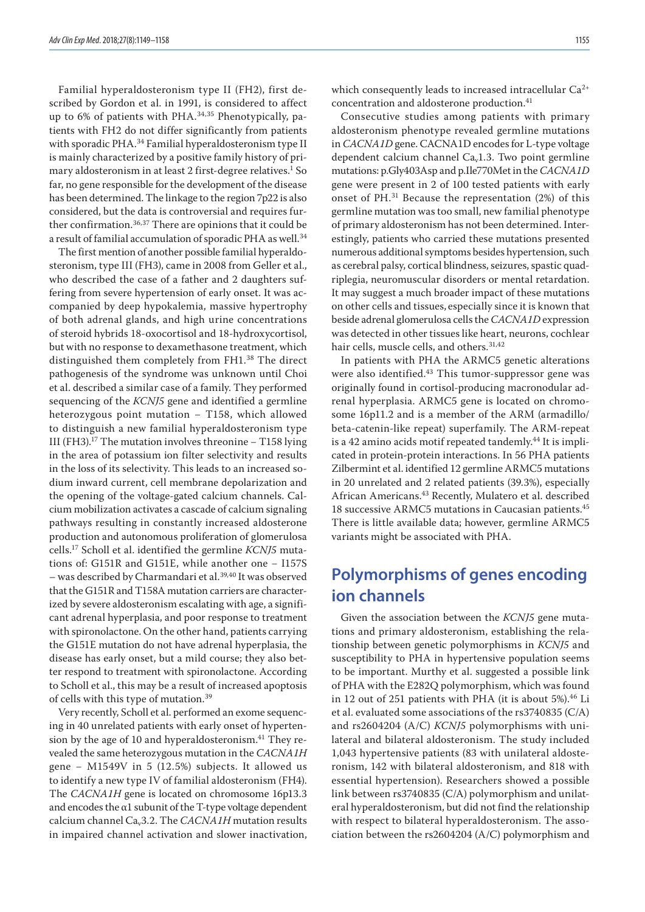Familial hyperaldosteronism type II (FH2), first described by Gordon et al. in 1991, is considered to affect up to 6% of patients with PHA. $34,35$  Phenotypically, patients with FH2 do not differ significantly from patients with sporadic PHA.<sup>34</sup> Familial hyperaldosteronism type II is mainly characterized by a positive family history of primary aldosteronism in at least 2 first-degree relatives. $^{\rm 1}$  So far, no gene responsible for the development of the disease has been determined. The linkage to the region 7p22 is also considered, but the data is controversial and requires further confirmation.36,37 There are opinions that it could be a result of familial accumulation of sporadic PHA as well.<sup>34</sup>

The first mention of another possible familial hyperaldosteronism, type III (FH3), came in 2008 from Geller et al., who described the case of a father and 2 daughters suffering from severe hypertension of early onset. It was accompanied by deep hypokalemia, massive hypertrophy of both adrenal glands, and high urine concentrations of steroid hybrids 18-oxocortisol and 18-hydroxycortisol, but with no response to dexamethasone treatment, which distinguished them completely from FH1.38 The direct pathogenesis of the syndrome was unknown until Choi et al. described a similar case of a family. They performed sequencing of the *KCNJ5* gene and identified a germline heterozygous point mutation - T158, which allowed to distinguish a new familial hyperaldosteronism type III (FH3).17 The mutation involves threonine − T158 lying in the area of potassium ion filter selectivity and results in the loss of its selectivity. This leads to an increased sodium inward current, cell membrane depolarization and the opening of the voltage-gated calcium channels. Calcium mobilization activates a cascade of calcium signaling pathways resulting in constantly increased aldosterone production and autonomous proliferation of glomerulosa cells.17 Scholl et al. identified the germline *KCNJ5* mutations of: G151R and G151E, while another one − I157S – was described by Charmandari et al.<sup>39,40</sup> It was observed that the G151R and T158A mutation carriers are characterized by severe aldosteronism escalating with age, a significant adrenal hyperplasia, and poor response to treatment with spironolactone. On the other hand, patients carrying the G151E mutation do not have adrenal hyperplasia, the disease has early onset, but a mild course; they also better respond to treatment with spironolactone. According to Scholl et al., this may be a result of increased apoptosis of cells with this type of mutation.<sup>39</sup>

Very recently, Scholl et al. performed an exome sequencing in 40 unrelated patients with early onset of hypertension by the age of 10 and hyperaldosteronism.<sup>41</sup> They revealed the same heterozygous mutation in the *CACNA1H* gene - M1549V in 5 (12.5%) subjects. It allowed us to identify a new type IV of familial aldosteronism (FH4). The *CACNA1H* gene is located on chromosome 16p13.3 and encodes the  $\alpha$ 1 subunit of the T-type voltage dependent calcium channel Cav3.2. The *CACNA1H* mutation results in impaired channel activation and slower inactivation,

which consequently leads to increased intracellular Ca<sup>2+</sup> concentration and aldosterone production.<sup>41</sup>

Consecutive studies among patients with primary aldosteronism phenotype revealed germline mutations in *CACNA1D* gene. CACNA1D encodes for L-type voltage dependent calcium channel  $Ca<sub>v</sub>1.3$ . Two point germline mutations: p.Gly403Asp and p.Ile770Met in the *CACNA1D* gene were present in 2 of 100 tested patients with early onset of PH.31 Because the representation (2%) of this germline mutation was too small, new familial phenotype of primary aldosteronism has not been determined. Interestingly, patients who carried these mutations presented numerous additional symptoms besides hypertension, such as cerebral palsy, cortical blindness, seizures, spastic quadriplegia, neuromuscular disorders or mental retardation. It may suggest a much broader impact of these mutations on other cells and tissues, especially since it is known that beside adrenal glomerulosa cells the *CACNA1D* expression was detected in other tissues like heart, neurons, cochlear hair cells, muscle cells, and others.<sup>31,42</sup>

In patients with PHA the ARMC5 genetic alterations were also identified.<sup>43</sup> This tumor-suppressor gene was originally found in cortisol-producing macronodular adrenal hyperplasia. ARMC5 gene is located on chromosome 16p11.2 and is a member of the ARM (armadillo/ beta-catenin-like repeat) superfamily. The ARM-repeat is a 42 amino acids motif repeated tandemly.44 It is implicated in protein-protein interactions. In 56 PHA patients Zilbermint et al. identified 12 germline ARMC5 mutations in 20 unrelated and 2 related patients (39.3%), especially African Americans.43 Recently, Mulatero et al. described 18 successive ARMC5 mutations in Caucasian patients.45 There is little available data; however, germline ARMC5 variants might be associated with PHA.

## **Polymorphisms of genes encoding ion channels**

Given the association between the *KCNJ5* gene mutations and primary aldosteronism, establishing the relationship between genetic polymorphisms in *KCNJ5* and susceptibility to PHA in hypertensive population seems to be important. Murthy et al. suggested a possible link of PHA with the E282Q polymorphism, which was found in 12 out of 251 patients with PHA (it is about 5%).<sup>46</sup> Li et al. evaluated some associations of the rs3740835 (C/A) and rs2604204 (A/C) *KCNJ5* polymorphisms with unilateral and bilateral aldosteronism. The study included 1,043 hypertensive patients (83 with unilateral aldosteronism, 142 with bilateral aldosteronism, and 818 with essential hypertension). Researchers showed a possible link between rs3740835 (C/A) polymorphism and unilateral hyperaldosteronism, but did not find the relationship with respect to bilateral hyperaldosteronism. The association between the rs2604204 (A/C) polymorphism and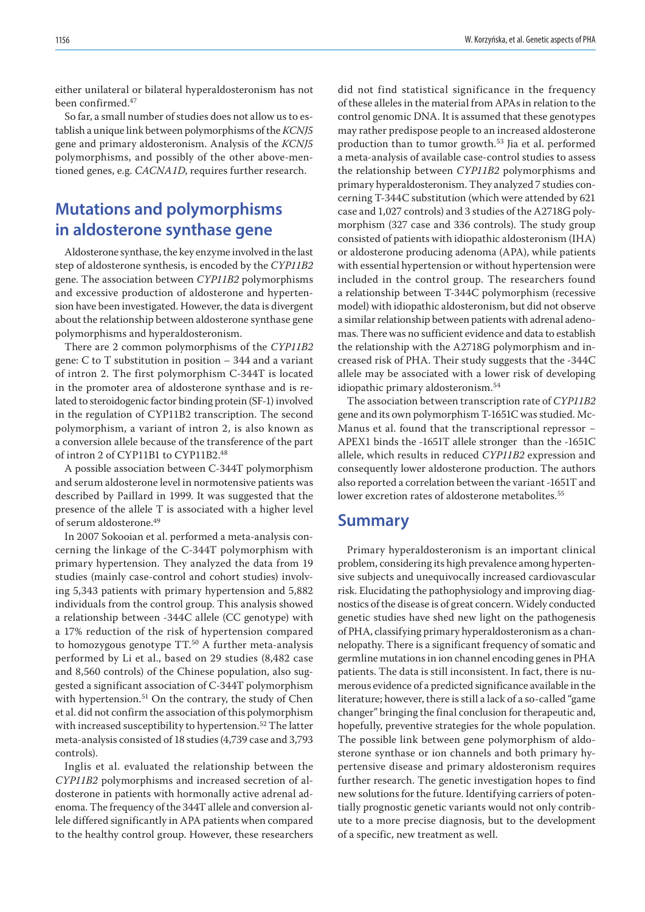either unilateral or bilateral hyperaldosteronism has not been confirmed.47

So far, a small number of studies does not allow us to establish a unique link between polymorphisms of the *KCNJ5* gene and primary aldosteronism. Analysis of the *KCNJ5*  polymorphisms, and possibly of the other above-mentioned genes, e.g. *CACNA1D*, requires further research.

## **Mutations and polymorphisms in aldosterone synthase gene**

Aldosterone synthase, the key enzyme involved in the last step of aldosterone synthesis, is encoded by the *CYP11B2* gene. The association between *CYP11B2* polymorphisms and excessive production of aldosterone and hypertension have been investigated. However, the data is divergent about the relationship between aldosterone synthase gene polymorphisms and hyperaldosteronism.

There are 2 common polymorphisms of the *CYP11B2* gene: C to T substitution in position – 344 and a variant of intron 2. The first polymorphism C-344T is located in the promoter area of aldosterone synthase and is related to steroidogenic factor binding protein (SF-1) involved in the regulation of CYP11B2 transcription. The second polymorphism, a variant of intron 2, is also known as a conversion allele because of the transference of the part of intron 2 of CYP11B1 to CYP11B2.48

A possible association between C-344T polymorphism and serum aldosterone level in normotensive patients was described by Paillard in 1999. It was suggested that the presence of the allele T is associated with a higher level of serum aldosterone.49

In 2007 Sokooian et al. performed a meta-analysis concerning the linkage of the C-344T polymorphism with primary hypertension. They analyzed the data from 19 studies (mainly case-control and cohort studies) involving 5,343 patients with primary hypertension and 5,882 individuals from the control group. This analysis showed a relationship between -344C allele (CC genotype) with a 17% reduction of the risk of hypertension compared to homozygous genotype TT.<sup>50</sup> A further meta-analysis performed by Li et al., based on 29 studies (8,482 case and 8,560 controls) of the Chinese population, also suggested a significant association of C-344T polymorphism with hypertension.<sup>51</sup> On the contrary, the study of Chen et al. did not confirm the association of this polymorphism with increased susceptibility to hypertension.<sup>52</sup> The latter meta-analysis consisted of 18 studies (4,739 case and 3,793 controls).

Inglis et al. evaluated the relationship between the *CYP11B2* polymorphisms and increased secretion of aldosterone in patients with hormonally active adrenal adenoma. The frequency of the 344T allele and conversion allele differed significantly in APA patients when compared to the healthy control group. However, these researchers did not find statistical significance in the frequency of these alleles in the material from APAs in relation to the control genomic DNA. It is assumed that these genotypes may rather predispose people to an increased aldosterone production than to tumor growth.53 Jia et al. performed a meta-analysis of available case-control studies to assess the relationship between *CYP11B2* polymorphisms and primary hyperaldosteronism. They analyzed 7 studies concerning T-344C substitution (which were attended by 621 case and 1,027 controls) and 3 studies of the A2718G polymorphism (327 case and 336 controls). The study group consisted of patients with idiopathic aldosteronism (IHA) or aldosterone producing adenoma (APA), while patients with essential hypertension or without hypertension were included in the control group. The researchers found a relationship between T-344C polymorphism (recessive model) with idiopathic aldosteronism, but did not observe a similar relationship between patients with adrenal adenomas. There was no sufficient evidence and data to establish the relationship with the A2718G polymorphism and increased risk of PHA. Their study suggests that the -344C allele may be associated with a lower risk of developing idiopathic primary aldosteronism.<sup>54</sup>

The association between transcription rate of *CYP11B2*  gene and its own polymorphism T-1651C was studied. Mc-Manus et al. found that the transcriptional repressor − APEX1 binds the -1651T allele stronger than the -1651C allele, which results in reduced *CYP11B2* expression and consequently lower aldosterone production. The authors also reported a correlation between the variant -1651T and lower excretion rates of aldosterone metabolites.<sup>55</sup>

### **Summary**

Primary hyperaldosteronism is an important clinical problem, considering its high prevalence among hypertensive subjects and unequivocally increased cardiovascular risk. Elucidating the pathophysiology and improving diagnostics of the disease is of great concern. Widely conducted genetic studies have shed new light on the pathogenesis of PHA, classifying primary hyperaldosteronism as a channelopathy. There is a significant frequency of somatic and germline mutations in ion channel encoding genes in PHA patients. The data is still inconsistent. In fact, there is numerous evidence of a predicted significance available in the literature; however, there is still a lack of a so-called "game changer" bringing the final conclusion for therapeutic and, hopefully, preventive strategies for the whole population. The possible link between gene polymorphism of aldosterone synthase or ion channels and both primary hypertensive disease and primary aldosteronism requires further research. The genetic investigation hopes to find new solutions for the future. Identifying carriers of potentially prognostic genetic variants would not only contribute to a more precise diagnosis, but to the development of a specific, new treatment as well.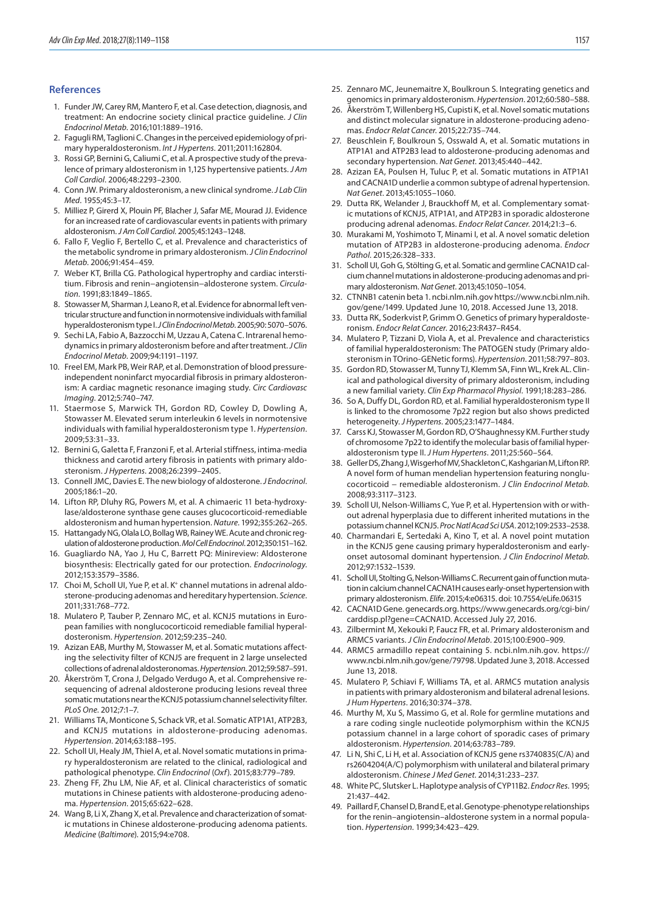#### **References**

- 1. Funder JW, Carey RM, Mantero F, et al. Case detection, diagnosis, and treatment: An endocrine society clinical practice guideline. *J Clin Endocrinol Metab*. 2016;101:1889–1916.
- 2. Fagugli RM, Taglioni C. Changes in the perceived epidemiology of primary hyperaldosteronism. *Int J Hypertens*. 2011;2011:162804.
- 3. Rossi GP, Bernini G, Caliumi C, et al. A prospective study of the prevalence of primary aldosteronism in 1,125 hypertensive patients. *J Am Coll Cardiol*. 2006;48:2293–2300.
- 4. Conn JW. Primary aldosteronism, a new clinical syndrome. *J Lab Clin Med*. 1955;45:3–17.
- 5. Milliez P, Girerd X, Plouin PF, Blacher J, Safar ME, Mourad JJ. Evidence for an increased rate of cardiovascular events in patients with primary aldosteronism. *J Am Coll Cardiol*. 2005;45:1243–1248.
- 6. Fallo F, Veglio F, Bertello C, et al. Prevalence and characteristics of the metabolic syndrome in primary aldosteronism. *J Clin Endocrinol Metab*. 2006;91:454–459.
- Weber KT, Brilla CG. Pathological hypertrophy and cardiac interstitium. Fibrosis and renin−angiotensin−aldosterone system. *Circulation*. 1991;83:1849–1865.
- 8. Stowasser M, Sharman J, Leano R, et al. Evidence for abnormal left ventricular structure and function in normotensive individuals with familial hyperaldosteronism type I. *J Clin Endocrinol Metab*. 2005;90: 5070–5076.
- 9. Sechi LA, Fabio A, Bazzocchi M, Uzzau A, Catena C. Intrarenal hemodynamics in primary aldosteronism before and after treatment. *J Clin Endocrinol Metab*. 2009;94:1191–1197.
- 10. Freel EM, Mark PB, Weir RAP, et al. Demonstration of blood pressureindependent noninfarct myocardial fibrosis in primary aldosteronism: A cardiac magnetic resonance imaging study. *Circ Cardiovasc Imaging*. 2012;5:740–747.
- 11. Staermose S, Marwick TH, Gordon RD, Cowley D, Dowling A, Stowasser M. Elevated serum interleukin 6 levels in normotensive individuals with familial hyperaldosteronism type 1. *Hypertension*. 2009;53:31–33.
- 12. Bernini G, Galetta F, Franzoni F, et al. Arterial stiffness, intima-media thickness and carotid artery fibrosis in patients with primary aldosteronism. *J Hypertens*. 2008;26:2399–2405.
- 13. Connell JMC, Davies E. The new biology of aldosterone. *J Endocrinol*. 2005;186:1–20.
- 14. Lifton RP, Dluhy RG, Powers M, et al. A chimaeric 11 beta-hydroxylase/aldosterone synthase gene causes glucocorticoid-remediable aldosteronism and human hypertension. *Nature*. 1992;355:262–265.
- 15. Hattangady NG, Olala LO, Bollag WB, Rainey WE. Acute and chronic regulation of aldosterone production. *Mol Cell Endocrinol*. 2012;350:151–162.
- 16. Guagliardo NA, Yao J, Hu C, Barrett PQ: Minireview: Aldosterone biosynthesis: Electrically gated for our protection. *Endocrinology*. 2012;153:3579–3586.
- 17. Choi M, Scholl UI, Yue P, et al. K<sup>+</sup> channel mutations in adrenal aldosterone-producing adenomas and hereditary hypertension. *Science*. 2011;331:768–772.
- 18. Mulatero P, Tauber P, Zennaro MC, et al. KCNJ5 mutations in European families with nonglucocorticoid remediable familial hyperaldosteronism. *Hypertension*. 2012;59:235–240.
- 19. Azizan EAB, Murthy M, Stowasser M, et al. Somatic mutations affecting the selectivity filter of KCNJ5 are frequent in 2 large unselected collections of adrenal aldosteronomas. *Hypertension*. 2012;59:587–591.
- 20. Åkerström T, Crona J, Delgado Verdugo A, et al. Comprehensive resequencing of adrenal aldosterone producing lesions reveal three somatic mutations near the KCNJ5 potassium channel selectivity filter. *PLoS One*. 2012;7:1–7.
- 21. Williams TA, Monticone S, Schack VR, et al. Somatic ATP1A1, ATP2B3, and KCNJ5 mutations in aldosterone-producing adenomas. *Hypertension*. 2014;63:188–195.
- 22. Scholl UI, Healy JM, Thiel A, et al. Novel somatic mutations in primary hyperaldosteronism are related to the clinical, radiological and pathological phenotype. *Clin Endocrinol* (*Oxf*). 2015;83:779–789.
- 23. Zheng FF, Zhu LM, Nie AF, et al. Clinical characteristics of somatic mutations in Chinese patients with aldosterone-producing adenoma. *Hypertension*. 2015;65:622–628.
- 24. Wang B, Li X, Zhang X, et al. Prevalence and characterization of somatic mutations in Chinese aldosterone-producing adenoma patients. *Medicine* (*Baltimore*). 2015;94:e708.
- 25. Zennaro MC, Jeunemaitre X, Boulkroun S. Integrating genetics and genomics in primary aldosteronism. *Hypertension*. 2012;60:580–588.
- 26. Åkerström T, Willenberg HS, Cupisti K, et al. Novel somatic mutations and distinct molecular signature in aldosterone-producing adenomas. *Endocr Relat Cancer*. 2015;22:735–744.
- 27. Beuschlein F, Boulkroun S, Osswald A, et al. Somatic mutations in ATP1A1 and ATP2B3 lead to aldosterone-producing adenomas and secondary hypertension. *Nat Genet*. 2013;45:440–442.
- 28. Azizan EA, Poulsen H, Tuluc P, et al. Somatic mutations in ATP1A1 and CACNA1D underlie a common subtype of adrenal hypertension. *Nat Genet*. 2013;45:1055–1060.
- 29. Dutta RK, Welander J, Brauckhoff M, et al. Complementary somatic mutations of KCNJ5, ATP1A1, and ATP2B3 in sporadic aldosterone producing adrenal adenomas. *Endocr Relat Cancer*. 2014;21:3–6.
- 30. Murakami M, Yoshimoto T, Minami I, et al. A novel somatic deletion mutation of ATP2B3 in aldosterone-producing adenoma. *Endocr Pathol*. 2015;26:328–333.
- 31. Scholl UI, Goh G, Stölting G, et al. Somatic and germline CACNA1D calcium channel mutations in aldosterone-producing adenomas and primary aldosteronism. *Nat Genet*. 2013;45:1050–1054.
- 32. CTNNB1 catenin beta 1. ncbi.nlm.nih.gov https://www.ncbi.nlm.nih. gov/gene/1499. Updated June 10, 2018. Accessed June 13, 2018.
- 33. Dutta RK, Soderkvist P, Grimm O. Genetics of primary hyperaldosteronism. *Endocr Relat Cancer*. 2016;23:R437–R454.
- 34. Mulatero P, Tizzani D, Viola A, et al. Prevalence and characteristics of familial hyperaldosteronism: The PATOGEN study (Primary aldosteronism in TOrino-GENetic forms). *Hypertension*. 2011;58:797–803.
- 35. Gordon RD, Stowasser M, Tunny TJ, Klemm SA, Finn WL, Krek AL. Clinical and pathological diversity of primary aldosteronism, including a new familial variety. *Clin Exp Pharmacol Physiol*. 1991;18:283–286.
- 36. So A, Duffy DL, Gordon RD, et al. Familial hyperaldosteronism type II is linked to the chromosome 7p22 region but also shows predicted heterogeneity. *J Hypertens*. 2005;23:1477–1484.
- 37. Carss KJ, Stowasser M, Gordon RD, O'Shaughnessy KM. Further study of chromosome 7p22 to identify the molecular basis of familial hyperaldosteronism type II. *J Hum Hypertens*. 2011;25:560–564.
- 38. Geller DS, Zhang J, Wisgerhof MV, Shackleton C, Kashgarian M, Lifton RP. A novel form of human mendelian hypertension featuring nonglucocorticoid − remediable aldosteronism. *J Clin Endocrinol Metab.* 2008;93:3117–3123.
- 39. Scholl UI, Nelson-Williams C, Yue P, et al. Hypertension with or without adrenal hyperplasia due to different inherited mutations in the potassium channel KCNJ5. *Proc Natl Acad Sci USA*. 2012;109:2533–2538.
- 40. Charmandari E, Sertedaki A, Kino T, et al. A novel point mutation in the KCNJ5 gene causing primary hyperaldosteronism and earlyonset autosomal dominant hypertension. *J Clin Endocrinol Metab.* 2012;97:1532–1539.
- 41. Scholl UI, Stolting G, Nelson-Williams C. Recurrent gain of function mutation in calcium channel CACNA1H causes early-onset hypertension with primary aldosteronism. *Elife*. 2015;4:e06315. doi: 10.7554/eLife.06315
- 42. CACNA1D Gene. genecards.org. https://www.genecards.org/cgi-bin/ carddisp.pl?gene=CACNA1D. Accessed July 27, 2016.
- 43. Zilbermint M, Xekouki P, Faucz FR, et al. Primary aldosteronism and ARMC5 variants. *J Clin Endocrinol Metab*. 2015;100:E900–909.
- 44. ARMC5 armadillo repeat containing 5. ncbi.nlm.nih.gov. https:// www.ncbi.nlm.nih.gov/gene/79798. Updated June 3, 2018. Accessed June 13, 2018.
- 45. Mulatero P, Schiavi F, Williams TA, et al. ARMC5 mutation analysis in patients with primary aldosteronism and bilateral adrenal lesions. *J Hum Hypertens*. 2016;30:374–378.
- 46. Murthy M, Xu S, Massimo G, et al. Role for germline mutations and a rare coding single nucleotide polymorphism within the KCNJ5 potassium channel in a large cohort of sporadic cases of primary aldosteronism. *Hypertension*. 2014;63:783–789.
- 47. Li N, Shi C, Li H, et al. Association of KCNJ5 gene rs3740835(C/A) and rs2604204(A/C) polymorphism with unilateral and bilateral primary aldosteronism. *Chinese J Med Genet*. 2014;31:233–237.
- 48. White PC, Slutsker L. Haplotype analysis of CYP11B2. *Endocr Res*. 1995; 21:437–442.
- 49. Paillard F, Chansel D, Brand E, et al. Genotype-phenotype relationships for the renin–angiotensin–aldosterone system in a normal population. *Hypertension*. 1999;34:423–429.